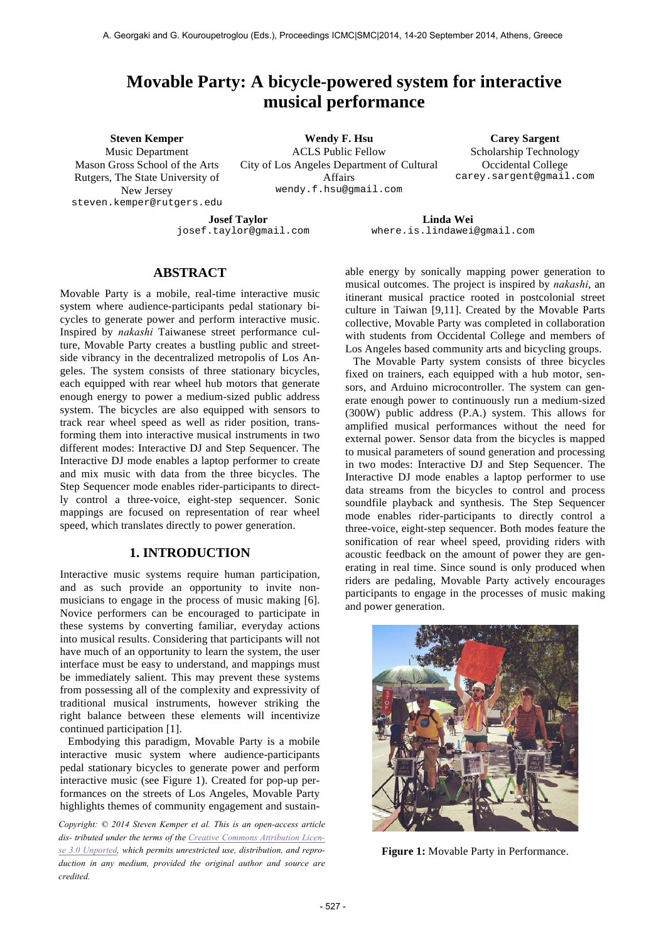# **Movable Party: A bicycle-powered system for interactive musical performance**

**Steven Kemper** Music Department

Mason Gross School of the Arts Rutgers, The State University of New Jersey steven.kemper@rutgers.edu

**Wendy F. Hsu** ACLS Public Fellow City of Los Angeles Department of Cultural Affairs wendy.f.hsu@gmail.com

**Carey Sargent** Scholarship Technology Occidental College carey.sargent@gmail.com

**Josef Taylor** josef.taylor@gmail.com

**Linda Wei** where.is.lindawei@gmail.com

### **ABSTRACT**

Movable Party is a mobile, real-time interactive music system where audience-participants pedal stationary bicycles to generate power and perform interactive music. Inspired by *nakashi* Taiwanese street performance culture, Movable Party creates a bustling public and streetside vibrancy in the decentralized metropolis of Los Angeles. The system consists of three stationary bicycles, each equipped with rear wheel hub motors that generate enough energy to power a medium-sized public address system. The bicycles are also equipped with sensors to track rear wheel speed as well as rider position, transforming them into interactive musical instruments in two different modes: Interactive DJ and Step Sequencer. The Interactive DJ mode enables a laptop performer to create and mix music with data from the three bicycles. The Step Sequencer mode enables rider-participants to directly control a three-voice, eight-step sequencer. Sonic mappings are focused on representation of rear wheel speed, which translates directly to power generation.

### **1. INTRODUCTION**

Interactive music systems require human participation, and as such provide an opportunity to invite nonmusicians to engage in the process of music making [6]. Novice performers can be encouraged to participate in these systems by converting familiar, everyday actions into musical results. Considering that participants will not have much of an opportunity to learn the system, the user interface must be easy to understand, and mappings must be immediately salient. This may prevent these systems from possessing all of the complexity and expressivity of traditional musical instruments, however striking the right balance between these elements will incentivize continued participation [1].

Embodying this paradigm, Movable Party is a mobile interactive music system where audience-participants pedal stationary bicycles to generate power and perform interactive music (see Figure 1). Created for pop-up performances on the streets of Los Angeles, Movable Party highlights themes of community engagement and sustain-

*Copyright: © 2014 Steven Kemper et al. This is an open-access article dis- tributed under the terms of the Creative Commons Attribution License 3.0 Unported, which permits unrestricted use, distribution, and reproduction in any medium, provided the original author and source are credited.*

able energy by sonically mapping power generation to musical outcomes. The project is inspired by *nakashi*, an itinerant musical practice rooted in postcolonial street culture in Taiwan [9,11]. Created by the Movable Parts collective, Movable Party was completed in collaboration with students from Occidental College and members of Los Angeles based community arts and bicycling groups.

The Movable Party system consists of three bicycles fixed on trainers, each equipped with a hub motor, sensors, and Arduino microcontroller. The system can generate enough power to continuously run a medium-sized (300W) public address (P.A.) system. This allows for amplified musical performances without the need for external power. Sensor data from the bicycles is mapped to musical parameters of sound generation and processing in two modes: Interactive DJ and Step Sequencer. The Interactive DJ mode enables a laptop performer to use data streams from the bicycles to control and process soundfile playback and synthesis. The Step Sequencer mode enables rider-participants to directly control a three-voice, eight-step sequencer. Both modes feature the sonification of rear wheel speed, providing riders with acoustic feedback on the amount of power they are generating in real time. Since sound is only produced when riders are pedaling, Movable Party actively encourages participants to engage in the processes of music making and power generation.



**Figure 1:** Movable Party in Performance.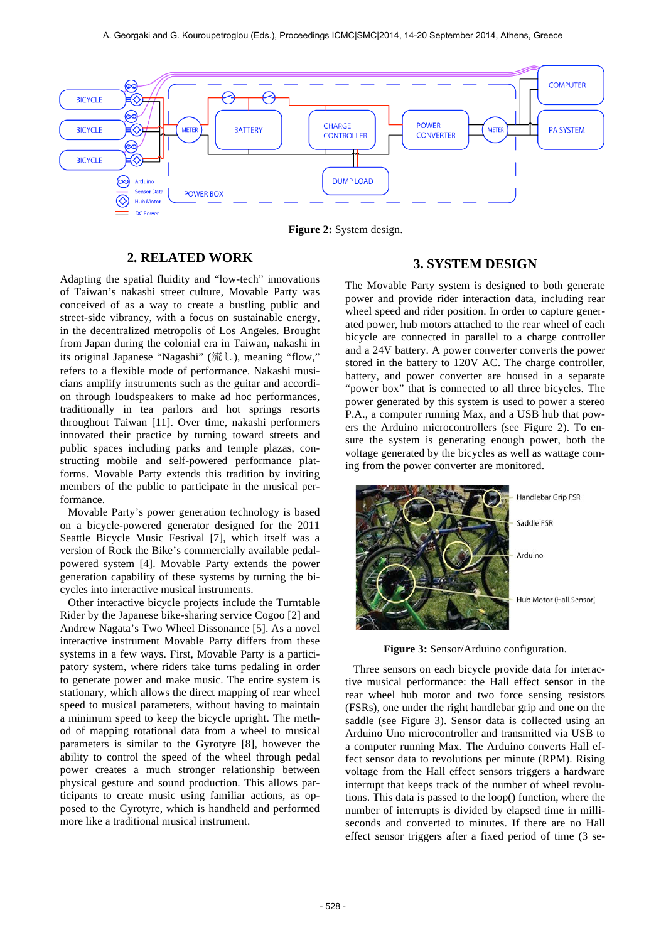

**Figure 2:** System design.

### **2. RELATED WORK**

Adapting the spatial fluidity and "low-tech" innovations of Taiwan's nakashi street culture, Movable Party was conceived of as a way to create a bustling public and street-side vibrancy, with a focus on sustainable energy, in the decentralized metropolis of Los Angeles. Brought from Japan during the colonial era in Taiwan, nakashi in its original Japanese "Nagashi" (流し), meaning "flow," refers to a flexible mode of performance. Nakashi musicians amplify instruments such as the guitar and accordion through loudspeakers to make ad hoc performances, traditionally in tea parlors and hot springs resorts throughout Taiwan [11]. Over time, nakashi performers innovated their practice by turning toward streets and public spaces including parks and temple plazas, constructing mobile and self-powered performance platforms. Movable Party extends this tradition by inviting members of the public to participate in the musical performance.

Movable Party's power generation technology is based on a bicycle-powered generator designed for the 2011 Seattle Bicycle Music Festival [7], which itself was a version of Rock the Bike's commercially available pedalpowered system [4]. Movable Party extends the power generation capability of these systems by turning the bicycles into interactive musical instruments.

Other interactive bicycle projects include the Turntable Rider by the Japanese bike-sharing service Cogoo [2] and Andrew Nagata's Two Wheel Dissonance [5]. As a novel interactive instrument Movable Party differs from these systems in a few ways. First, Movable Party is a participatory system, where riders take turns pedaling in order to generate power and make music. The entire system is stationary, which allows the direct mapping of rear wheel speed to musical parameters, without having to maintain a minimum speed to keep the bicycle upright. The method of mapping rotational data from a wheel to musical parameters is similar to the Gyrotyre [8], however the ability to control the speed of the wheel through pedal power creates a much stronger relationship between physical gesture and sound production. This allows participants to create music using familiar actions, as opposed to the Gyrotyre, which is handheld and performed more like a traditional musical instrument.

### **3. SYSTEM DESIGN**

The Movable Party system is designed to both generate power and provide rider interaction data, including rear wheel speed and rider position. In order to capture generated power, hub motors attached to the rear wheel of each bicycle are connected in parallel to a charge controller and a 24V battery. A power converter converts the power stored in the battery to 120V AC. The charge controller, battery, and power converter are housed in a separate "power box" that is connected to all three bicycles. The power generated by this system is used to power a stereo P.A., a computer running Max, and a USB hub that powers the Arduino microcontrollers (see Figure 2). To ensure the system is generating enough power, both the voltage generated by the bicycles as well as wattage coming from the power converter are monitored.



**Figure 3:** Sensor/Arduino configuration.

Three sensors on each bicycle provide data for interactive musical performance: the Hall effect sensor in the rear wheel hub motor and two force sensing resistors (FSRs), one under the right handlebar grip and one on the saddle (see Figure 3). Sensor data is collected using an Arduino Uno microcontroller and transmitted via USB to a computer running Max. The Arduino converts Hall effect sensor data to revolutions per minute (RPM). Rising voltage from the Hall effect sensors triggers a hardware interrupt that keeps track of the number of wheel revolutions. This data is passed to the loop() function, where the number of interrupts is divided by elapsed time in milliseconds and converted to minutes. If there are no Hall effect sensor triggers after a fixed period of time (3 se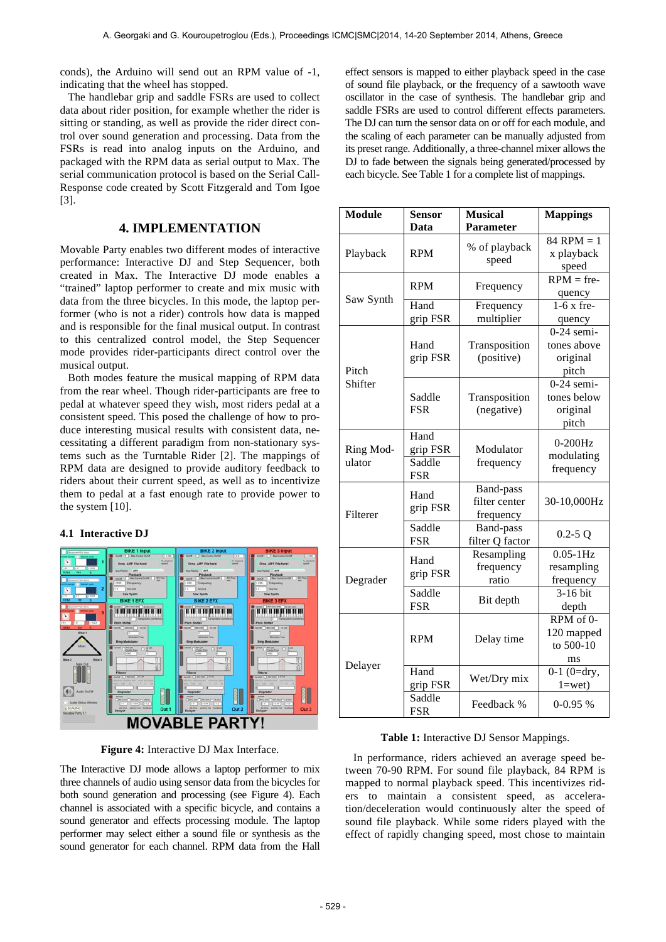conds), the Arduino will send out an RPM value of -1, indicating that the wheel has stopped.

The handlebar grip and saddle FSRs are used to collect data about rider position, for example whether the rider is sitting or standing, as well as provide the rider direct control over sound generation and processing. Data from the FSRs is read into analog inputs on the Arduino, and packaged with the RPM data as serial output to Max. The serial communication protocol is based on the Serial Call-Response code created by Scott Fitzgerald and Tom Igoe [3].

### **4. IMPLEMENTATION**

Movable Party enables two different modes of interactive performance: Interactive DJ and Step Sequencer, both created in Max. The Interactive DJ mode enables a "trained" laptop performer to create and mix music with data from the three bicycles. In this mode, the laptop performer (who is not a rider) controls how data is mapped and is responsible for the final musical output. In contrast to this centralized control model, the Step Sequencer mode provides rider-participants direct control over the musical output.

Both modes feature the musical mapping of RPM data from the rear wheel. Though rider-participants are free to pedal at whatever speed they wish, most riders pedal at a consistent speed. This posed the challenge of how to produce interesting musical results with consistent data, necessitating a different paradigm from non-stationary systems such as the Turntable Rider [2]. The mappings of RPM data are designed to provide auditory feedback to riders about their current speed, as well as to incentivize them to pedal at a fast enough rate to provide power to the system [10].

#### **4.1 Interactive DJ**



**Figure 4:** Interactive DJ Max Interface.

The Interactive DJ mode allows a laptop performer to mix three channels of audio using sensor data from the bicycles for both sound generation and processing (see Figure 4). Each channel is associated with a specific bicycle, and contains a sound generator and effects processing module. The laptop performer may select either a sound file or synthesis as the sound generator for each channel. RPM data from the Hall

effect sensors is mapped to either playback speed in the case of sound file playback, or the frequency of a sawtooth wave oscillator in the case of synthesis. The handlebar grip and saddle FSRs are used to control different effects parameters. The DJ can turn the sensor data on or off for each module, and the scaling of each parameter can be manually adjusted from its preset range. Additionally, a three-channel mixer allows the DJ to fade between the signals being generated/processed by each bicycle. See Table 1 for a complete list of mappings.

| <b>Module</b> | <b>Sensor</b>    | <b>Musical</b>         | <b>Mappings</b>   |
|---------------|------------------|------------------------|-------------------|
|               | Data             | Parameter              |                   |
| Playback      |                  |                        | $84$ RPM = 1      |
|               | <b>RPM</b>       | % of playback          | x playback        |
|               |                  | speed                  | speed             |
|               | <b>RPM</b>       |                        | $RPM = fre-$      |
| Saw Synth     |                  | Frequency              | quency            |
|               | Hand             | Frequency              | $1-6x$ fre-       |
|               | grip FSR         | multiplier             | quency            |
|               |                  |                        | $0-24$ semi-      |
|               | Hand             | Transposition          | tones above       |
|               | grip FSR         | (positive)             | original          |
| Pitch         |                  |                        | pitch             |
| Shifter       |                  |                        | $0-24$ semi-      |
|               | Saddle           | Transposition          | tones below       |
|               | <b>FSR</b>       | (negative)             | original          |
|               |                  |                        | pitch             |
|               | Hand             |                        |                   |
| Ring Mod-     | grip FSR         | Modulator<br>frequency | $0-200Hz$         |
| ulator        | Saddle           |                        | modulating        |
|               | <b>FSR</b>       |                        | frequency         |
|               | Hand<br>grip FSR | <b>Band-pass</b>       | 30-10,000Hz       |
|               |                  | filter center          |                   |
| Filterer      |                  | frequency              |                   |
|               | Saddle           | Band-pass              | $0.2 - 5Q$        |
|               | <b>FSR</b>       | filter Q factor        |                   |
| Degrader      | Hand<br>grip FSR | Resampling             | $0.05 - 1$ Hz     |
|               |                  | frequency              | resampling        |
|               |                  | ratio                  | frequency         |
|               | Saddle           | Bit depth              | 3-16 bit          |
|               | <b>FSR</b>       |                        | depth             |
| Delayer       | <b>RPM</b>       | Delay time             | RPM of 0-         |
|               |                  |                        | 120 mapped        |
|               |                  |                        | to 500-10         |
|               |                  |                        | ms                |
|               | Hand             | Wet/Dry mix            | $0-1$ ( $0=$ dry, |
|               | grip FSR         |                        | $1 = wet$         |
|               | Saddle           | Feedback %             | $0-0.95%$         |
|               | <b>FSR</b>       |                        |                   |

#### **Table 1:** Interactive DJ Sensor Mappings.

In performance, riders achieved an average speed between 70-90 RPM. For sound file playback, 84 RPM is mapped to normal playback speed. This incentivizes riders to maintain a consistent speed, as acceleration/deceleration would continuously alter the speed of sound file playback. While some riders played with the effect of rapidly changing speed, most chose to maintain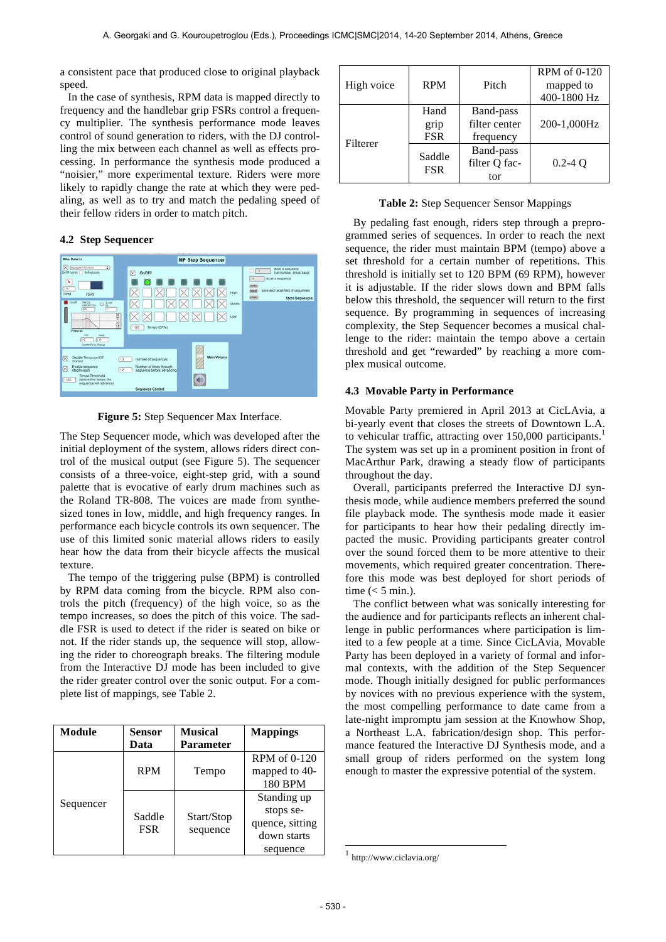a consistent pace that produced close to original playback speed.

In the case of synthesis, RPM data is mapped directly to frequency and the handlebar grip FSRs control a frequency multiplier. The synthesis performance mode leaves control of sound generation to riders, with the DJ controlling the mix between each channel as well as effects processing. In performance the synthesis mode produced a "noisier," more experimental texture. Riders were more likely to rapidly change the rate at which they were pedaling, as well as to try and match the pedaling speed of their fellow riders in order to match pitch.

### **4.2 Step Sequencer**



**Figure 5:** Step Sequencer Max Interface.

The Step Sequencer mode, which was developed after the initial deployment of the system, allows riders direct control of the musical output (see Figure 5). The sequencer consists of a three-voice, eight-step grid, with a sound palette that is evocative of early drum machines such as the Roland TR-808. The voices are made from synthesized tones in low, middle, and high frequency ranges. In performance each bicycle controls its own sequencer. The use of this limited sonic material allows riders to easily hear how the data from their bicycle affects the musical texture.

The tempo of the triggering pulse (BPM) is controlled by RPM data coming from the bicycle. RPM also controls the pitch (frequency) of the high voice, so as the tempo increases, so does the pitch of this voice. The saddle FSR is used to detect if the rider is seated on bike or not. If the rider stands up, the sequence will stop, allowing the rider to choreograph breaks. The filtering module from the Interactive DJ mode has been included to give the rider greater control over the sonic output. For a complete list of mappings, see Table 2.

| Module    | Sensor<br>Data | <b>Musical</b><br>Parameter | <b>Mappings</b>                                                        |
|-----------|----------------|-----------------------------|------------------------------------------------------------------------|
| Sequencer | <b>RPM</b>     | Tempo                       | RPM of 0-120<br>mapped to 40-<br>180 BPM                               |
|           | Saddle<br>FSR  | Start/Stop<br>sequence      | Standing up<br>stops se-<br>quence, sitting<br>down starts<br>sequence |

| High voice | <b>RPM</b>                 | Pitch                                   | RPM of 0-120<br>mapped to<br>400-1800 Hz |
|------------|----------------------------|-----------------------------------------|------------------------------------------|
| Filterer   | Hand<br>grip<br><b>FSR</b> | Band-pass<br>filter center<br>frequency | 200-1,000Hz                              |
|            | Saddle<br><b>FSR</b>       | Band-pass<br>filter Q fac-<br>tor       | $0.2 - 4$ O                              |

|  |  | Table 2: Step Sequencer Sensor Mappings |
|--|--|-----------------------------------------|
|  |  |                                         |

By pedaling fast enough, riders step through a preprogrammed series of sequences. In order to reach the next sequence, the rider must maintain BPM (tempo) above a set threshold for a certain number of repetitions. This threshold is initially set to 120 BPM (69 RPM), however it is adjustable. If the rider slows down and BPM falls below this threshold, the sequencer will return to the first sequence. By programming in sequences of increasing complexity, the Step Sequencer becomes a musical challenge to the rider: maintain the tempo above a certain threshold and get "rewarded" by reaching a more complex musical outcome.

### **4.3 Movable Party in Performance**

Movable Party premiered in April 2013 at CicLAvia, a bi-yearly event that closes the streets of Downtown L.A. to vehicular traffic, attracting over  $150,000$  participants.<sup>1</sup> The system was set up in a prominent position in front of MacArthur Park, drawing a steady flow of participants throughout the day.

Overall, participants preferred the Interactive DJ synthesis mode, while audience members preferred the sound file playback mode. The synthesis mode made it easier for participants to hear how their pedaling directly impacted the music. Providing participants greater control over the sound forced them to be more attentive to their movements, which required greater concentration. Therefore this mode was best deployed for short periods of time  $(< 5$  min.).

The conflict between what was sonically interesting for the audience and for participants reflects an inherent challenge in public performances where participation is limited to a few people at a time. Since CicLAvia, Movable Party has been deployed in a variety of formal and informal contexts, with the addition of the Step Sequencer mode. Though initially designed for public performances by novices with no previous experience with the system, the most compelling performance to date came from a late-night impromptu jam session at the Knowhow Shop, a Northeast L.A. fabrication/design shop. This performance featured the Interactive DJ Synthesis mode, and a small group of riders performed on the system long enough to master the expressive potential of the system.

-

 $1$  http://www.ciclavia.org/